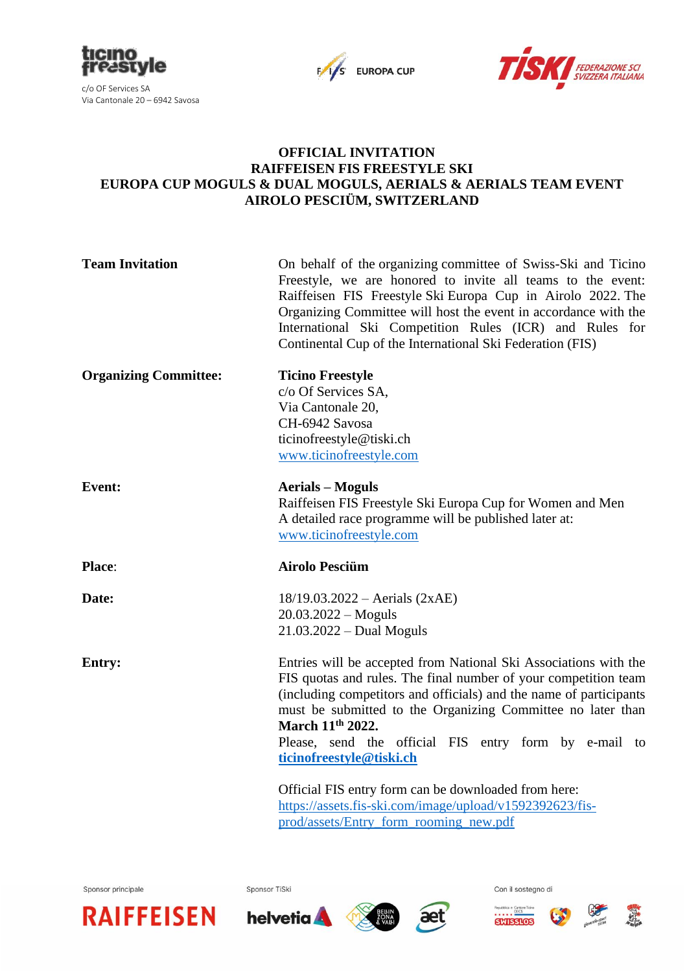





## **OFFICIAL INVITATION RAIFFEISEN FIS FREESTYLE SKI EUROPA CUP MOGULS & DUAL MOGULS, AERIALS & AERIALS TEAM EVENT AIROLO PESCIÜM, SWITZERLAND**

| <b>Team Invitation</b>       | On behalf of the organizing committee of Swiss-Ski and Ticino<br>Freestyle, we are honored to invite all teams to the event:<br>Raiffeisen FIS Freestyle Ski Europa Cup in Airolo 2022. The<br>Organizing Committee will host the event in accordance with the<br>International Ski Competition Rules (ICR) and Rules for<br>Continental Cup of the International Ski Federation (FIS)                                                                                                                            |  |  |  |  |
|------------------------------|-------------------------------------------------------------------------------------------------------------------------------------------------------------------------------------------------------------------------------------------------------------------------------------------------------------------------------------------------------------------------------------------------------------------------------------------------------------------------------------------------------------------|--|--|--|--|
| <b>Organizing Committee:</b> | <b>Ticino Freestyle</b><br>c/o Of Services SA,<br>Via Cantonale 20,<br>CH-6942 Savosa<br>ticinofreestyle@tiski.ch<br>www.ticinofreestyle.com                                                                                                                                                                                                                                                                                                                                                                      |  |  |  |  |
| <b>Event:</b>                | <b>Aerials – Moguls</b><br>Raiffeisen FIS Freestyle Ski Europa Cup for Women and Men<br>A detailed race programme will be published later at:<br>www.ticinofreestyle.com                                                                                                                                                                                                                                                                                                                                          |  |  |  |  |
| Place:                       | <b>Airolo Pesciüm</b>                                                                                                                                                                                                                                                                                                                                                                                                                                                                                             |  |  |  |  |
| Date:                        | $18/19.03.2022 - Aerials (2xAE)$<br>$20.03.2022 - Moguls$<br>$21.03.2022 - Dual Moguls$                                                                                                                                                                                                                                                                                                                                                                                                                           |  |  |  |  |
| <b>Entry:</b>                | Entries will be accepted from National Ski Associations with the<br>FIS quotas and rules. The final number of your competition team<br>(including competitors and officials) and the name of participants<br>must be submitted to the Organizing Committee no later than<br>March 11 <sup>th</sup> 2022.<br>Please, send the official FIS entry form by e-mail to<br>ticinofreestyle@tiski.ch<br>Official FIS entry form can be downloaded from here:<br>https://assets.fis-ski.com/image/upload/v1592392623/fis- |  |  |  |  |
|                              | prod/assets/Entry_form_rooming_new.pdf                                                                                                                                                                                                                                                                                                                                                                                                                                                                            |  |  |  |  |

Sponsor principale

Sponsor TiSki







Con il sostegno di



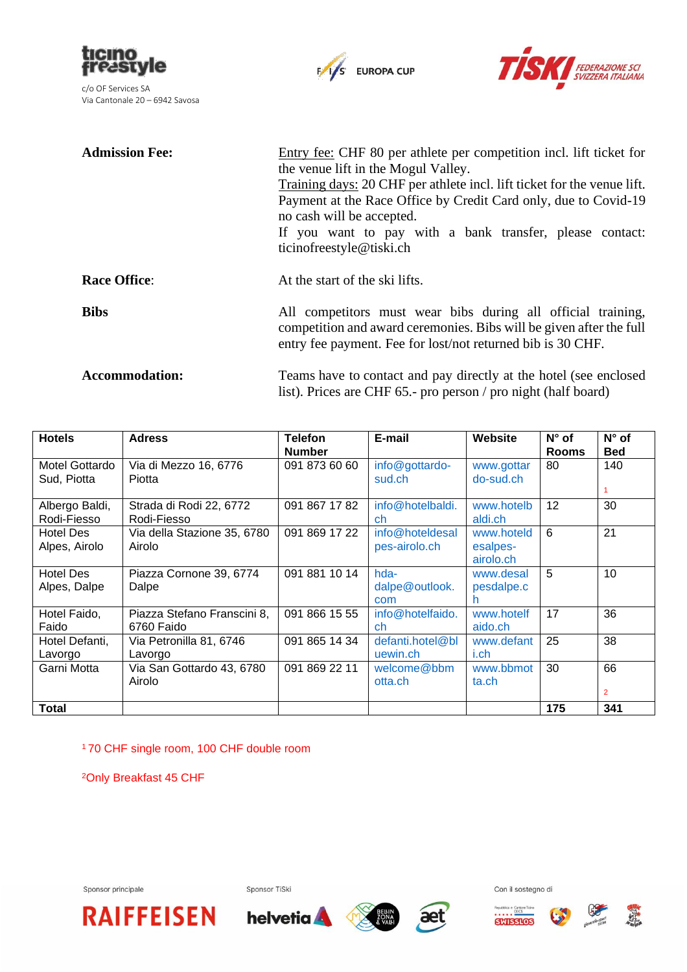





| <b>Admission Fee:</b> | Entry fee: CHF 80 per athlete per competition incl. lift ticket for<br>the venue lift in the Mogul Valley.<br>Training days: 20 CHF per athlete incl. lift ticket for the venue lift.<br>Payment at the Race Office by Credit Card only, due to Covid-19<br>no cash will be accepted.<br>If you want to pay with a bank transfer, please contact:<br>ticinofreestyle@tiski.ch |  |
|-----------------------|-------------------------------------------------------------------------------------------------------------------------------------------------------------------------------------------------------------------------------------------------------------------------------------------------------------------------------------------------------------------------------|--|
| <b>Race Office:</b>   | At the start of the ski lifts.                                                                                                                                                                                                                                                                                                                                                |  |
| <b>Bibs</b>           | All competitors must wear bibs during all official training,<br>competition and award ceremonies. Bibs will be given after the full<br>entry fee payment. Fee for lost/not returned bib is 30 CHF.                                                                                                                                                                            |  |
| <b>Accommodation:</b> | Teams have to contact and pay directly at the hotel (see enclosed                                                                                                                                                                                                                                                                                                             |  |

list). Prices are CHF 65.- pro person / pro night (half board)

| <b>Hotels</b>    | <b>Adress</b>               | <b>Telefon</b> | E-mail           | Website    | $N^{\circ}$ of | $N^{\circ}$ of |
|------------------|-----------------------------|----------------|------------------|------------|----------------|----------------|
|                  |                             | <b>Number</b>  |                  |            | <b>Rooms</b>   | <b>Bed</b>     |
| Motel Gottardo   | Via di Mezzo 16, 6776       | 091 873 60 60  | info@gottardo-   | www.gottar | 80             | 140            |
| Sud, Piotta      | Piotta                      |                | sud.ch           | do-sud.ch  |                |                |
|                  |                             |                |                  |            |                |                |
| Albergo Baldi,   | Strada di Rodi 22, 6772     | 091 867 17 82  | info@hotelbaldi. | www.hotelb | 12             | 30             |
| Rodi-Fiesso      | Rodi-Fiesso                 |                | ch               | aldi.ch    |                |                |
| <b>Hotel Des</b> | Via della Stazione 35, 6780 | 091 869 17 22  | info@hoteldesal  | www.hoteld | 6              | 21             |
| Alpes, Airolo    | Airolo                      |                | pes-airolo.ch    | esalpes-   |                |                |
|                  |                             |                |                  | airolo.ch  |                |                |
| <b>Hotel Des</b> | Piazza Cornone 39, 6774     | 091 881 10 14  | hda-             | www.desal  | 5              | 10             |
| Alpes, Dalpe     | Dalpe                       |                | dalpe@outlook.   | pesdalpe.c |                |                |
|                  |                             |                | com              |            |                |                |
| Hotel Faido,     | Piazza Stefano Franscini 8, | 091 866 15 55  | info@hotelfaido. | www.hotelf | 17             | 36             |
| Faido            | 6760 Faido                  |                | ch               | aido.ch    |                |                |
| Hotel Defanti,   | Via Petronilla 81, 6746     | 091 865 14 34  | defanti.hotel@bl | www.defant | 25             | 38             |
| Lavorgo          | Lavorgo                     |                | uewin.ch         | i.ch       |                |                |
| Garni Motta      | Via San Gottardo 43, 6780   | 091 869 22 11  | welcome@bbm      | www.bbmot  | 30             | 66             |
|                  | Airolo                      |                | otta.ch          | ta.ch      |                |                |
|                  |                             |                |                  |            |                | $\overline{2}$ |
| Total            |                             |                |                  |            | 175            | 341            |

<sup>1</sup>70 CHF single room, 100 CHF double room

<sup>2</sup>Only Breakfast 45 CHF

Sponsor principale

Sponsor TiSki











Con il sostegno di



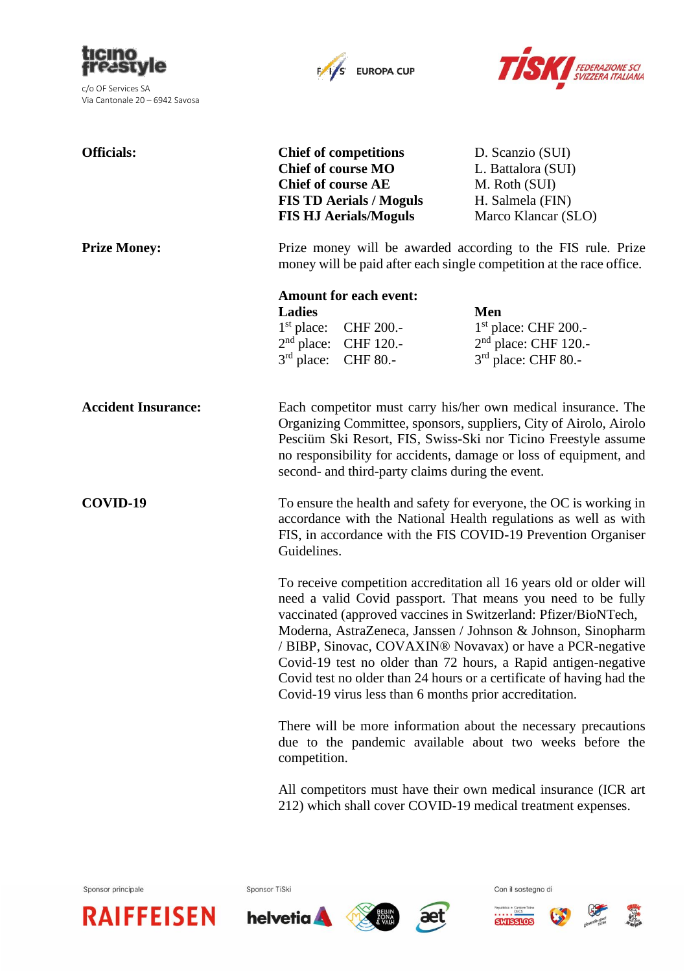

c/o OF Services SA Via Cantonale 20 – 6942 Savosa





| <b>Officials:</b>          | <b>Chief of competitions</b><br><b>Chief of course MO</b><br><b>Chief of course AE</b><br><b>FIS TD Aerials / Moguls</b><br><b>FIS HJ Aerials/Moguls</b>                                                                                                                                                                                                                                                                                                                                                                                                                                                                                                                                                                                                                                                                                                                                                      | D. Scanzio (SUI)<br>L. Battalora (SUI)<br>M. Roth (SUI)<br>H. Salmela (FIN)<br>Marco Klancar (SLO) |  |  |
|----------------------------|---------------------------------------------------------------------------------------------------------------------------------------------------------------------------------------------------------------------------------------------------------------------------------------------------------------------------------------------------------------------------------------------------------------------------------------------------------------------------------------------------------------------------------------------------------------------------------------------------------------------------------------------------------------------------------------------------------------------------------------------------------------------------------------------------------------------------------------------------------------------------------------------------------------|----------------------------------------------------------------------------------------------------|--|--|
| <b>Prize Money:</b>        | Prize money will be awarded according to the FIS rule. Prize<br>money will be paid after each single competition at the race office.                                                                                                                                                                                                                                                                                                                                                                                                                                                                                                                                                                                                                                                                                                                                                                          |                                                                                                    |  |  |
|                            | <b>Amount for each event:</b><br><b>Ladies</b><br>$1st$ place:<br>CHF 200.-<br>$2nd$ place: CHF 120.-<br>$3rd$ place: CHF 80.-                                                                                                                                                                                                                                                                                                                                                                                                                                                                                                                                                                                                                                                                                                                                                                                | <b>Men</b><br>$1st$ place: CHF 200.-<br>2 <sup>nd</sup> place: CHF 120.-<br>3rd place: CHF 80 .-   |  |  |
| <b>Accident Insurance:</b> | Each competitor must carry his/her own medical insurance. The<br>Organizing Committee, sponsors, suppliers, City of Airolo, Airolo<br>Pesciüm Ski Resort, FIS, Swiss-Ski nor Ticino Freestyle assume<br>no responsibility for accidents, damage or loss of equipment, and<br>second- and third-party claims during the event.                                                                                                                                                                                                                                                                                                                                                                                                                                                                                                                                                                                 |                                                                                                    |  |  |
| COVID-19                   | To ensure the health and safety for everyone, the OC is working in<br>accordance with the National Health regulations as well as with<br>FIS, in accordance with the FIS COVID-19 Prevention Organiser<br>Guidelines.<br>To receive competition accreditation all 16 years old or older will<br>need a valid Covid passport. That means you need to be fully<br>vaccinated (approved vaccines in Switzerland: Pfizer/BioNTech,<br>Moderna, AstraZeneca, Janssen / Johnson & Johnson, Sinopharm<br>/ BIBP, Sinovac, COVAXIN® Novavax) or have a PCR-negative<br>Covid-19 test no older than 72 hours, a Rapid antigen-negative<br>Covid test no older than 24 hours or a certificate of having had the<br>Covid-19 virus less than 6 months prior accreditation.<br>There will be more information about the necessary precautions<br>due to the pandemic available about two weeks before the<br>competition. |                                                                                                    |  |  |
|                            |                                                                                                                                                                                                                                                                                                                                                                                                                                                                                                                                                                                                                                                                                                                                                                                                                                                                                                               |                                                                                                    |  |  |
|                            |                                                                                                                                                                                                                                                                                                                                                                                                                                                                                                                                                                                                                                                                                                                                                                                                                                                                                                               |                                                                                                    |  |  |
|                            | All competitors must have their own medical insurance (ICR art<br>212) which shall cover COVID-19 medical treatment expenses.                                                                                                                                                                                                                                                                                                                                                                                                                                                                                                                                                                                                                                                                                                                                                                                 |                                                                                                    |  |  |



Sponsor TiSki